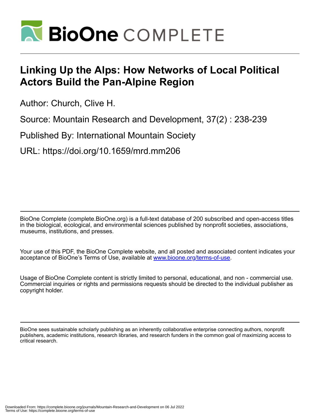

## **Linking Up the Alps: How Networks of Local Political Actors Build the Pan-Alpine Region**

Author: Church, Clive H.

Source: Mountain Research and Development, 37(2) : 238-239

Published By: International Mountain Society

URL: https://doi.org/10.1659/mrd.mm206

BioOne Complete (complete.BioOne.org) is a full-text database of 200 subscribed and open-access titles in the biological, ecological, and environmental sciences published by nonprofit societies, associations, museums, institutions, and presses.

Your use of this PDF, the BioOne Complete website, and all posted and associated content indicates your acceptance of BioOne's Terms of Use, available at www.bioone.org/terms-of-use.

Usage of BioOne Complete content is strictly limited to personal, educational, and non - commercial use. Commercial inquiries or rights and permissions requests should be directed to the individual publisher as copyright holder.

BioOne sees sustainable scholarly publishing as an inherently collaborative enterprise connecting authors, nonprofit publishers, academic institutions, research libraries, and research funders in the common goal of maximizing access to critical research.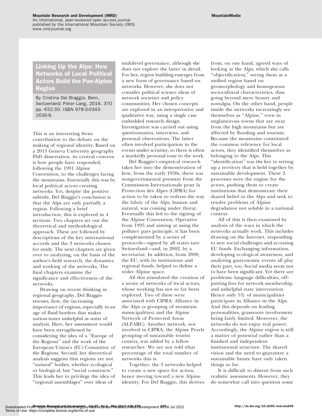## Mountain Research and Development (MRD)

An international, peer-reviewed open access journal published by the International Mountain Society (IMS) www.mrd-journal.org

## Linking Up the Alps: How Networks of Local Political Actors Build the Pan-Alpine Region

By Cristina Del Biaggio. Bern, Switzerland: Peter Lang, 2016. 370 pp. E52.50. ISBN 978-3-0343- 1630-9.

This is an interesting Swiss contribution to the debate on the making of regional identity. Based on a 2013 Geneva University geography PhD dissertation, its central concern is how people have responded, following the 1991 Alpine Convention, to the challenges facing the mountains. Essentially this was by local political actors creating networks. Yet, despite the positive subtitle, Del Biaggio's conclusion is that the Alps are only partially a region. Following a brief introduction, this is explored in 4 sections. Two chapters set out the theoretical and methodological approach. These are followed by descriptions of the key international accords and the 3 networks chosen for study. The next chapters are given over to analyzing, on the basis of the author's field research, the dynamics and working of the networks. The final chapters examine the significance and effectiveness of the networks.

Drawing on recent thinking in regional geography, Del Biaggio stresses, first, the increasing importance of regions, especially in an age of fluid borders that makes nation-states unhelpful as units of analysis. Here, her assessment would have been strengthened by considering the idea of a ''Europe of the Regions'' and the work of the European Union's (EU) Committee of the Regions. Second, her theoretical analysis suggests that regions are not ''natural'' bodies, whether ecological or biological, but ''social constructs.'' This leads her to privilege the idea of ''regional assemblages'' over ideas of

multilevel governance, although she does not explore the latter in detail. For her, region building emerges from a new form of governance based on networks. However, she does not consider political science ideas of network societies and policy communities. Her chosen concepts are explored in an interpretative and qualitative way, using a single case embedded research design. Investigation was carried out using questionnaires, interviews, and personal observations. The latter often involved participation in the events under scrutiny, so there is often a markedly personal tone to the work.

Del Biaggio's empirical research takes her into the demonstration of how, from the early 1950s, there was nongovernmental pressure from the Commission Internationale pour la Protection des Alpes (CIPRA) for action to be taken to redress the way the fabric of the Alps, human and natural, was coming under threat. Eventually this led to the signing of the Alpine Convention. Operative from 1995 and aiming at using the polluter pays principle, it has been complemented by a series of protocols—signed by all states save Switzerland—and, in 2002, by a secretariat. In addition, from 2000, the EU, with its institutions and regional funds, helped to define a wider Alpine space.

All this stimulated the creation of a series of networks of local actors, whose working has not so far been explored. Two of these were associated with CIPRA: Alliance in the Alps (a grouping of mountain municipalities) and the Alpine Network of Protected Areas (ALPARC). Another network, not involved in CIPRA, the Alpine Pearls grouping of sustainable tourist centers, was added by a fellow researcher. We are not told what percentage of the total number of networks this is.

Together, the 3 networks helped to create a new space for action, hence moving toward a new Alpine identity. For Del Biaggio, this derives

from, on one hand, agreed ways of looking at the Alps, which she calls ''objectification,'' seeing them as a unified region based on geomorphology and homogenous sociocultural characteristics, thus going beyond mere beauty and nostalgia. On the other hand, people inside the networks increasingly see themselves as ''Alpine,'' even in unglamorous towns that are away from the high mountains but are affected by flooding and tourism. Because the mountains constituted the common reference for local actors, they identified themselves as belonging to the Alps. This ''identification'' was the key to setting up a territory that is held together by sustainable development. These 2 processes were the engine for the actors, pushing them to create institutions that demonstrate their shared belief in the Alps and seek to resolve problems of Alpine degradation not soluble in a national context.

All of this is then examined by analysis of the ways in which the networks actually work. This includes drawing on the Internet, responding to new social challenges and accessing EU funds. Exchanging information, developing ecological awareness, and analyzing gastronomic events all play their part, too. Social media seem not to have been significant. Yet there are problems: language difficulties, offputting fees for network membership, and unhelpful state intervention. Hence only 5% of municipalities participate in Alliance in the Alps. And this depends on leading personalities, grassroots involvement being fairly limited. Moreover, the networks do not enjoy real power. Accordingly, the Alpine region is still a matter of potential rather than a finished and independent institutional structure. The shared vision and the need to guarantee a sustainable future have only taken things so far.

It is difficult to dissent from such realistic assessments. However, they do somewhat call into question some